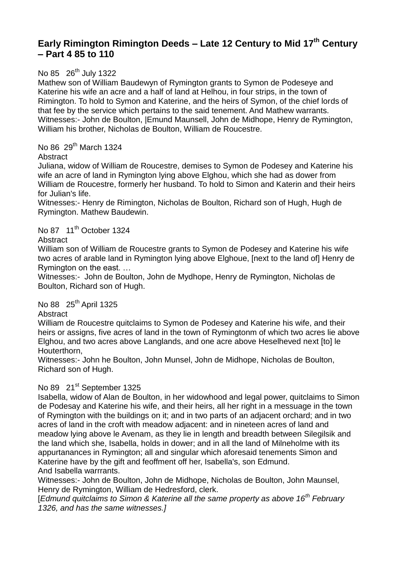# **Early Rimington Rimington Deeds – Late 12 Century to Mid 17th Century – Part 4 85 to 110**

# No 85 26<sup>th</sup> July 1322

Mathew son of William Baudewyn of Rymington grants to Symon de Podeseye and Katerine his wife an acre and a half of land at Helhou, in four strips, in the town of Rimington. To hold to Symon and Katerine, and the heirs of Symon, of the chief lords of that fee by the service which pertains to the said tenement. And Mathew warrants. Witnesses:- John de Boulton, |Emund Maunsell, John de Midhope, Henry de Rymington, William his brother, Nicholas de Boulton, William de Roucestre.

No 86 29<sup>th</sup> March 1324

### Abstract

Juliana, widow of William de Roucestre, demises to Symon de Podesey and Katerine his wife an acre of land in Rymington lying above Elghou, which she had as dower from William de Roucestre, formerly her husband. To hold to Simon and Katerin and their heirs for Julian's life.

Witnesses:- Henry de Rimington, Nicholas de Boulton, Richard son of Hugh, Hugh de Rymington. Mathew Baudewin.

# No 87 11<sup>th</sup> October 1324

### **Abstract**

William son of William de Roucestre grants to Symon de Podesey and Katerine his wife two acres of arable land in Rymington lying above Elghoue, [next to the land of] Henry de Rymington on the east. …

Witnesses:- John de Boulton, John de Mydhope, Henry de Rymington, Nicholas de Boulton, Richard son of Hugh.

No 88 25<sup>th</sup> April 1325

### **Abstract**

William de Roucestre quitclaims to Symon de Podesey and Katerine his wife, and their heirs or assigns, five acres of land in the town of Rymingtonm of which two acres lie above Elghou, and two acres above Langlands, and one acre above Heselheved next [to] le Houterthorn,

Witnesses:- John he Boulton, John Munsel, John de Midhope, Nicholas de Boulton, Richard son of Hugh.

# No 89 21<sup>st</sup> September 1325

Isabella, widow of Alan de Boulton, in her widowhood and legal power, quitclaims to Simon de Podesay and Katerine his wife, and their heirs, all her right in a messuage in the town of Rymington with the buildings on it; and in two parts of an adjacent orchard; and in two acres of land in the croft with meadow adjacent: and in nineteen acres of land and meadow lying above le Avenam, as they lie in length and breadth between Silegilsik and the land which she, Isabella, holds in dower; and in all the land of Milneholme with its appurtanances in Rymington; all and singular which aforesaid tenements Simon and Katerine have by the gift and feoffment off her, Isabella's, son Edmund. And Isabella warrrants.

Witnesses:- John de Boulton, John de Midhope, Nicholas de Boulton, John Maunsel, Henry de Rymington, William de Hedresford, clerk.

[*Edmund quitclaims to Simon & Katerine all the same property as above 16th February 1326, and has the same witnesses.]*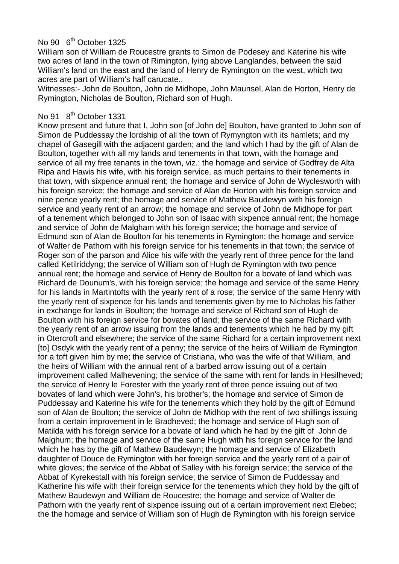# No 90 6<sup>th</sup> October 1325

William son of William de Roucestre grants to Simon de Podesey and Katerine his wife two acres of land in the town of Rimington, lying above Langlandes, between the said William's land on the east and the land of Henry de Rymington on the west, which two acres are part of William's half carucate..

Witnesses:- John de Boulton, John de Midhope, John Maunsel, Alan de Horton, Henry de Rymington, Nicholas de Boulton, Richard son of Hugh.

# No 91 8<sup>th</sup> October 1331

Know present and future that I, John son [of John de] Boulton, have granted to John son of Simon de Puddessay the lordship of all the town of Rymyngton with its hamlets; and my chapel of Gasegill with the adjacent garden; and the land which I had by the gift of Alan de Boulton, together with all my lands and tenements in that town, with the homage and service of all my free tenants in the town, viz.: the homage and service of Godfrey de Alta Ripa and Hawis his wife, with his foreign service, as much pertains to their tenements in that town, with sixpence annual rent; the homage and service of John de Wyclesworth with his foreign service; the homage and service of Alan de Horton with his foreign service and nine pence yearly rent; the homage and service of Mathew Baudewyn with his foreign service and yearly rent of an arrow; the homage and service of John de Midhope for part of a tenement which belonged to John son of Isaac with sixpence annual rent; the homage and service of John de Malgham with his foreign service; the homage and service of Edmund son of Alan de Boulton for his tenements in Rymington; the homage and service of Walter de Pathorn with his foreign service for his tenements in that town; the service of Roger son of the parson and Alice his wife with the yearly rent of three pence for the land called Ketilriddyng; the service of William son of Hugh de Rymington with two pence annual rent; the homage and service of Henry de Boulton for a bovate of land which was Richard de Dounum's, with his foreign service; the homage and service of the same Henry for his lands in Martintofts with the yearly rent of a rose; the service of the same Henry with the yearly rent of sixpence for his lands and tenements given by me to Nicholas his father in exchange for lands in Boulton; the homage and service of Richard son of Hugh de Boulton with his foreign service for bovates of land; the service of the same Richard with the yearly rent of an arrow issuing from the lands and tenements which he had by my gift in Otercroft and elsewhere; the service of the same Richard for a certain improvement next [to] Osdyk with the yearly rent of a penny; the service of the heirs of William de Rymington for a toft given him by me; the service of Cristiana, who was the wife of that William, and the heirs of William with the annual rent of a barbed arrow issuing out of a certain improvement called Malhevening; the service of the same with rent for lands in Hesilheved; the service of Henry le Forester with the yearly rent of three pence issuing out of two bovates of land which were John's, his brother's; the homage and service of Simon de Puddessay and Katerine his wife for the tenements which they hold by the gift of Edmund son of Alan de Boulton; the service of John de Midhop with the rent of two shillings issuing from a certain improvement in le Bradheved; the homage and service of Hugh son of Matilda with his foreign service for a bovate of land which he had by the gift of John de Malghum; the homage and service of the same Hugh with his foreign service for the land which he has by the gift of Mathew Baudewyn; the homage and service of Elizabeth daughter of Douce de Rymington with her foreign service and the yearly rent of a pair of white gloves; the service of the Abbat of Salley with his foreign service; the service of the Abbat of Kyrekestall with his foreign service; the service of Simon de Puddessay and Katherine his wife with their foreign service for the tenements which they hold by the gift of Mathew Baudewyn and William de Roucestre; the homage and service of Walter de Pathorn with the yearly rent of sixpence issuing out of a certain improvement next Elebec; the the homage and service of William son of Hugh de Rymington with his foreign service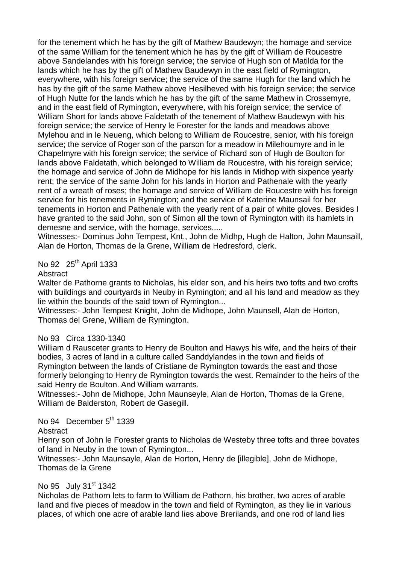for the tenement which he has by the gift of Mathew Baudewyn; the homage and service of the same William for the tenement which he has by the gift of William de Roucestre above Sandelandes with his foreign service; the service of Hugh son of Matilda for the lands which he has by the gift of Mathew Baudewyn in the east field of Rymington, everywhere, with his foreign service; the service of the same Hugh for the land which he has by the gift of the same Mathew above Hesilheved with his foreign service; the service of Hugh Nutte for the lands which he has by the gift of the same Mathew in Crossemyre, and in the east field of Rymington, everywhere, with his foreign service; the service of William Short for lands above Faldetath of the tenement of Mathew Baudewyn with his foreign service; the service of Henry le Forester for the lands and meadows above Mylehou and in le Neueng, which belong to William de Roucestre, senior, with his foreign service; the service of Roger son of the parson for a meadow in Milehoumyre and in le Chapelmyre with his foreign service; the service of Richard son of Hugh de Boulton for lands above Faldetath, which belonged to William de Roucestre, with his foreign service; the homage and service of John de Midhope for his lands in Midhop with sixpence yearly rent; the service of the same John for his lands in Horton and Pathenale with the yearly rent of a wreath of roses; the homage and service of William de Roucestre with his foreign service for his tenements in Rymington; and the service of Katerine Maunsail for her tenements in Horton and Pathenale with the yearly rent of a pair of white gloves. Besides I have granted to the said John, son of Simon all the town of Rymington with its hamlets in demesne and service, with the homage, services.....

Witnesses:- Dominus John Tempest, Knt., John de Midhp, Hugh de Halton, John Maunsaill, Alan de Horton, Thomas de la Grene, William de Hedresford, clerk.

## No 92 25<sup>th</sup> April 1333

#### **Abstract**

Walter de Pathorne grants to Nicholas, his elder son, and his heirs two tofts and two crofts with buildings and courtvards in Neuby in Rymington; and all his land and meadow as they lie within the bounds of the said town of Rymington...

Witnesses:- John Tempest Knight, John de Midhope, John Maunsell, Alan de Horton, Thomas del Grene, William de Rymington.

#### No 93 Circa 1330-1340

William d Rausceter grants to Henry de Boulton and Hawys his wife, and the heirs of their bodies, 3 acres of land in a culture called Sanddylandes in the town and fields of Rymington between the lands of Cristiane de Rymington towards the east and those formerly belonging to Henry de Rymington towards the west. Remainder to the heirs of the said Henry de Boulton. And William warrants.

Witnesses:- John de Midhope, John Maunseyle, Alan de Horton, Thomas de la Grene, William de Balderston, Robert de Gasegill.

#### No 94 December  $5<sup>th</sup>$  1339

#### Abstract

Henry son of John le Forester grants to Nicholas de Westeby three tofts and three bovates of land in Neuby in the town of Rymington...

Witnesses:- John Maunsayle, Alan de Horton, Henry de [illegible], John de Midhope, Thomas de la Grene

#### No 95 July 31<sup>st</sup> 1342

Nicholas de Pathorn lets to farm to William de Pathorn, his brother, two acres of arable land and five pieces of meadow in the town and field of Rymington, as they lie in various places, of which one acre of arable land lies above Brerilands, and one rod of land lies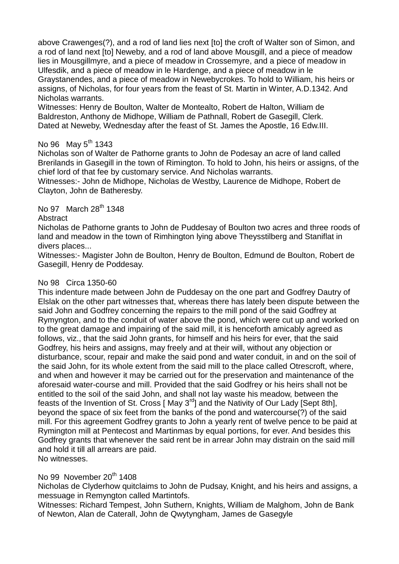above Crawenges(?), and a rod of land lies next [to] the croft of Walter son of Simon, and a rod of land next [to] Neweby, and a rod of land above Mousgill, and a piece of meadow lies in Mousgillmyre, and a piece of meadow in Crossemyre, and a piece of meadow in Ulfesdik, and a piece of meadow in le Hardenge, and a piece of meadow in le Graystanendes, and a piece of meadow in Newebycrokes. To hold to William, his heirs or assigns, of Nicholas, for four years from the feast of St. Martin in Winter, A.D.1342. And Nicholas warrants.

Witnesses: Henry de Boulton, Walter de Montealto, Robert de Halton, William de Baldreston, Anthony de Midhope, William de Pathnall, Robert de Gasegill, Clerk. Dated at Neweby, Wednesday after the feast of St. James the Apostle, 16 Edw.III.

# No 96 May  $5^{th}$  1343

Nicholas son of Walter de Pathorne grants to John de Podesay an acre of land called Brerilands in Gasegill in the town of Rimington. To hold to John, his heirs or assigns, of the chief lord of that fee by customary service. And Nicholas warrants.

Witnesses:- John de Midhope, Nicholas de Westby, Laurence de Midhope, Robert de Clayton, John de Batheresby.

# No 97 March 28<sup>th</sup> 1348

#### **Abstract**

Nicholas de Pathorne grants to John de Puddesay of Boulton two acres and three roods of land and meadow in the town of Rimhington lying above Theysstilberg and Staniflat in divers places...

Witnesses:- Magister John de Boulton, Henry de Boulton, Edmund de Boulton, Robert de Gasegill, Henry de Poddesay.

### No 98 Circa 1350-60

This indenture made between John de Puddesay on the one part and Godfrey Dautry of Elslak on the other part witnesses that, whereas there has lately been dispute between the said John and Godfrey concerning the repairs to the mill pond of the said Godfrey at Rymyngton, and to the conduit of water above the pond, which were cut up and worked on to the great damage and impairing of the said mill, it is henceforth amicably agreed as follows, viz., that the said John grants, for himself and his heirs for ever, that the said Godfrey, his heirs and assigns, may freely and at their will, without any objection or disturbance, scour, repair and make the said pond and water conduit, in and on the soil of the said John, for its whole extent from the said mill to the place called Otrescroft, where, and when and however it may be carried out for the preservation and maintenance of the aforesaid water-course and mill. Provided that the said Godfrey or his heirs shall not be entitled to the soil of the said John, and shall not lay waste his meadow, between the feasts of the Invention of St. Cross [May  $3^{rd}$ ] and the Nativity of Our Lady [Sept 8th], beyond the space of six feet from the banks of the pond and watercourse(?) of the said mill. For this agreement Godfrey grants to John a yearly rent of twelve pence to be paid at Rymington mill at Pentecost and Martinmas by equal portions, for ever. And besides this Godfrey grants that whenever the said rent be in arrear John may distrain on the said mill and hold it till all arrears are paid. No witnesses.

### No 99 November 20<sup>th</sup> 1408

Nicholas de Clyderhow quitclaims to John de Pudsay, Knight, and his heirs and assigns, a messuage in Remyngton called Martintofs.

Witnesses: Richard Tempest, John Suthern, Knights, William de Malghom, John de Bank of Newton, Alan de Caterall, John de Qwytyngham, James de Gasegyle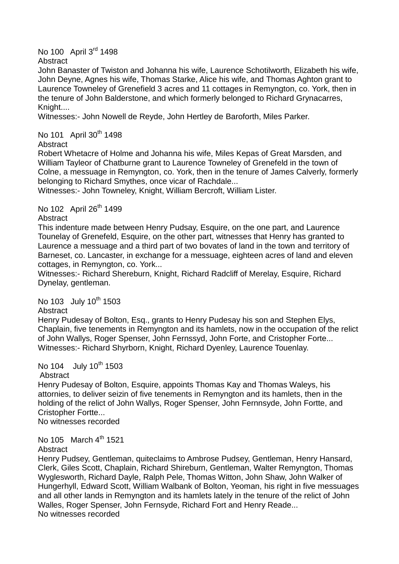No 100 April 3<sup>rd</sup> 1498

**Abstract** 

John Banaster of Twiston and Johanna his wife, Laurence Schotilworth, Elizabeth his wife, John Deyne, Agnes his wife, Thomas Starke, Alice his wife, and Thomas Aghton grant to Laurence Towneley of Grenefield 3 acres and 11 cottages in Remyngton, co. York, then in the tenure of John Balderstone, and which formerly belonged to Richard Grynacarres, Knight....

Witnesses:- John Nowell de Reyde, John Hertley de Baroforth, Miles Parker.

No 101 April 30<sup>th</sup> 1498

**Abstract** 

Robert Whetacre of Holme and Johanna his wife, Miles Kepas of Great Marsden, and William Tayleor of Chatburne grant to Laurence Towneley of Grenefeld in the town of Colne, a messuage in Remyngton, co. York, then in the tenure of James Calverly, formerly belonging to Richard Smythes, once vicar of Rachdale...

Witnesses:- John Towneley, Knight, William Bercroft, William Lister.

No 102 April 26<sup>th</sup> 1499

**Abstract** 

This indenture made between Henry Pudsay, Esquire, on the one part, and Laurence Tounelay of Grenefeld, Esquire, on the other part, witnesses that Henry has granted to Laurence a messuage and a third part of two bovates of land in the town and territory of Barneset, co. Lancaster, in exchange for a messuage, eighteen acres of land and eleven cottages, in Remyngton, co. York...

Witnesses:- Richard Shereburn, Knight, Richard Radcliff of Merelay, Esquire, Richard Dynelay, gentleman.

No 103 July 10<sup>th</sup> 1503

Abstract

Henry Pudesay of Bolton, Esq., grants to Henry Pudesay his son and Stephen Elys, Chaplain, five tenements in Remyngton and its hamlets, now in the occupation of the relict of John Wallys, Roger Spenser, John Fernssyd, John Forte, and Cristopher Forte... Witnesses:- Richard Shyrborn, Knight, Richard Dyenley, Laurence Touenlay.

No 104 July 10<sup>th</sup> 1503

Abstract

Henry Pudesay of Bolton, Esquire, appoints Thomas Kay and Thomas Waleys, his attornies, to deliver seizin of five tenements in Remyngton and its hamlets, then in the holding of the relict of John Wallys, Roger Spenser, John Fernnsyde, John Fortte, and Cristopher Fortte...

No witnesses recorded

No 105 March  $4^{th}$  1521 **Abstract** 

Henry Pudsey, Gentleman, quiteclaims to Ambrose Pudsey, Gentleman, Henry Hansard, Clerk, Giles Scott, Chaplain, Richard Shireburn, Gentleman, Walter Remyngton, Thomas Wyglesworth, Richard Dayle, Ralph Pele, Thomas Witton, John Shaw, John Walker of Hungerhyll, Edward Scott, William Walbank of Bolton, Yeoman, his right in five messuages and all other lands in Remyngton and its hamlets lately in the tenure of the relict of John Walles, Roger Spenser, John Fernsyde, Richard Fort and Henry Reade... No witnesses recorded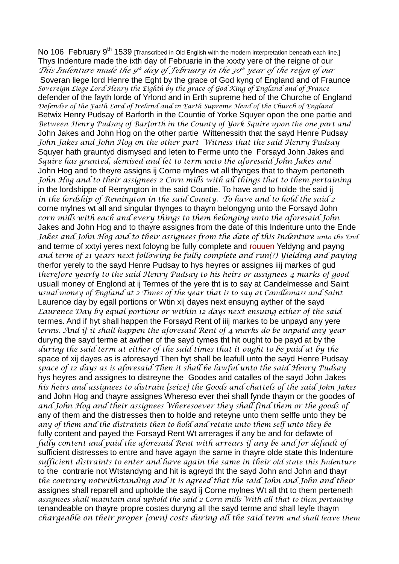No 106 February 9<sup>th</sup> 1539 [Transcribed in Old English with the modern interpretation beneath each line.] Thys Indenture made the ixth day of Februarie in the xxxty yere of the reigne of our *This Indenture made the 9 th day of February in the 30 th year of the reign of our* Soveran liege lord Henre the Eght by the grace of God kyng of England and of Fraunce *Sovereign Liege Lord Henry the Eighth by the grace of God King of England and of France* defender of the fayth lorde of Yrlond and in Erth supreme hed of the Churche of England *Defender of the Faith Lord of Ireland and in Earth Supreme Head of the Church of England* Betwix Henry Pudsay of Barforth in the Countie of Yorke Squyer opon the one partie and *Between Henry Pudsay of Barforth in the County of York Squire upon the one part and* John Jakes and John Hog on the other partie Wittenessith that the sayd Henre Pudsay *John Jakes and John Hog on the other part Witness that the said Henry Pudsay* Squyer hath grauntyd dismysed and leten to Ferme unto the Forsayd John Jakes and *Squire has granted, demised and let to term unto the aforesaid John Jakes and* John Hog and to theyre assigns ij Corne mylnes wt all thynges that to thaym perteneth *John Hog and to their assignees 2 Corn mills with all things that to them pertaining* in the lordshippe of Remyngton in the said Countie. To have and to holde the said ij *in the lordship of Remington in the said County. To have and to hold the said 2* corne mylnes wt all and singular thynges to thaym belongyng unto the Forsayd John *corn mills with each and every things to them belonging unto the aforesaid John* Jakes and John Hog and to thayre assignes from the date of this Indenture unto the Ende *Jakes and John Hog and to their assignees from the date of this Indenture unto the End* and terme of xxtyi yeres next foloyng be fully complete and rouuen Yeldyng and payng *and term of 21 years next following be fully complete and run(?) Yielding and paying* therfor yerely to the sayd Henre Pudsay to hys heyres or assignes iiij markes of gud *therefore yearly to the said Henry Pudsay to his heirs or assignees 4 marks of good* usuall money of Englond at ij Termes of the yere tht is to say at Candelmesse and Saint *usual money of England at 2 Times of the year that is to say at Candlemass and Saint* Laurence day by egall portions or Wtin xij dayes next ensuyng ayther of the sayd *Laurence Day by equal portions or within 12 days next ensuing either of the said* termes. And if hyt shall happen the Forsayd Rent of iiij markes to be unpayd any yere t*erms. And if it shall happen the aforesaid Rent of 4 marks do be unpaid any year* duryng the sayd terme at awther of the sayd tymes tht hit ought to be payd at by the *during the said term at either of the said times that it ought to be paid at by the* space of xij dayes as is aforesayd Then hyt shall be leafull unto the sayd Henre Pudsay *space of 12 days as is aforesaid Then it shall be lawful unto the said Henry Pudsay* hys heyres and assignes to distreyne the Goodes and catalles of the sayd John Jakes *his heirs and assignees to distrain [seize] the Goods and chattels of the said John Jakes* and John Hog and thayre assignes Whereso ever thei shall fynde thaym or the goodes of *and John Hog and their assignees Wheresoever they shall find them or the goods of* any of them and the distresses then to holde and retevne unto them selffe unto they be *any of them and the distraints then to hold and retain unto them self unto they be* fully content and payed the Forsayd Rent Wt arrerages if any be and for defawte of *fully content and paid the aforesaid Rent with arrears if any be and for default of* sufficient distresses to entre and have agayn the same in thayre olde state this Indenture *sufficient distraints to enter and have again the same in their old state this Indenture* to the contrarie not Wtstandyng and hit is agreyd tht the sayd John and John and thayr *the contrary notwithstanding and it is agreed that the said John and John and their*  assignes shall reparell and upholde the sayd ij Corne mylnes Wt all tht to them perteneth assignees shall maintain and uphold the said 2 Corn mills With all that to them pertaining tenandeable on thayre propre costes duryng all the sayd terme and shall leyfe thaym *chargeable on their proper [own] costs during all the said term and shall leave them*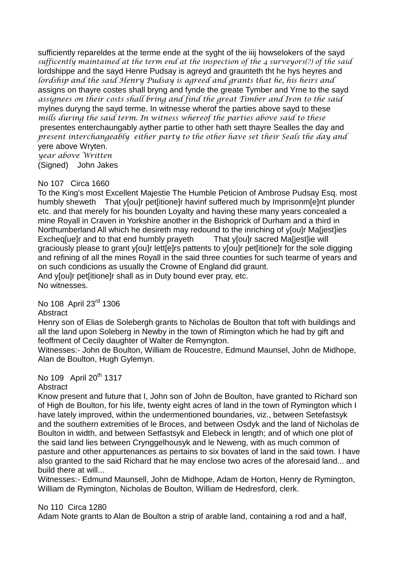sufficiently repareldes at the terme ende at the syght of the iiij howselokers of the sayd *sufficently maintained at the term end at the inspection of the 4 surveyors(?) of the said* lordshippe and the sayd Henre Pudsay is agreyd and graunteth tht he hys heyres and *lordship and the said Henry Pudsay is agreed and grants that he, his heirs and* assigns on thayre costes shall bryng and fynde the greate Tymber and Yrne to the sayd *assignees on their costs shall bring and find the great Timber and Iron to the said* mylnes duryng the sayd terme. In witnesse wherof the parties above sayd to these *mills during the said term. In witness whereof the parties above said to these* presentes enterchaungably ayther partie to other hath sett thayre Sealles the day and *present interchangeably either party to the other have set their Seals the day and* yere above Wryten.

*year above Written* (Signed) John Jakes

#### No 107 Circa 1660

To the King's most Excellent Majestie The Humble Peticion of Ambrose Pudsay Esq. most humbly sheweth That y[ou]r pet[itione]r havinf suffered much by Imprisonm[e]nt plunder etc. and that merely for his bounden Loyalty and having these many years concealed a mine Royall in Craven in Yorkshire another in the Bishoprick of Durham and a third in Northumberland All which he desireth may redound to the inriching of y[ou]r Ma[jest]ies Excheq[ue]r and to that end humbly prayeth That y[ou]r sacred Ma[jest]ie will graciously please to grant y[ou]r lett[e]rs pattents to y[ou]r pet[itione]r for the sole digging and refining of all the mines Royall in the said three counties for such tearme of years and on such condicions as usually the Crowne of England did graunt. And y[ou]r pet[itione]r shall as in Duty bound ever pray, etc. No witnesses.

No 108 April 23rd 1306

**Abstract** 

Henry son of Elias de Solebergh grants to Nicholas de Boulton that toft with buildings and all the land upon Soleberg in Newby in the town of Rimington which he had by gift and feoffment of Cecily daughter of Walter de Remyngton.

Witnesses:- John de Boulton, William de Roucestre, Edmund Maunsel, John de Midhope, Alan de Boulton, Hugh Gylemyn.

No 109 April 20<sup>th</sup> 1317

### **Abstract**

Know present and future that I, John son of John de Boulton, have granted to Richard son of High de Boulton, for his life, twenty eight acres of land in the town of Rymington which I have lately improved, within the undermentioned boundaries, viz., between Setefastsyk and the southern extremities of le Broces, and between Osdyk and the land of Nicholas de Boulton in width, and between Setfastsyk and Elebeck in length; and of which one plot of the said land lies between Crynggelhousyk and le Neweng, with as much common of pasture and other appurtenances as pertains to six bovates of land in the said town. I have also granted to the said Richard that he may enclose two acres of the aforesaid land... and build there at will...

Witnesses:- Edmund Maunsell, John de Midhope, Adam de Horton, Henry de Rymington, William de Rymington, Nicholas de Boulton, William de Hedresford, clerk.

No 110 Circa 1280

Adam Note grants to Alan de Boulton a strip of arable land, containing a rod and a half,